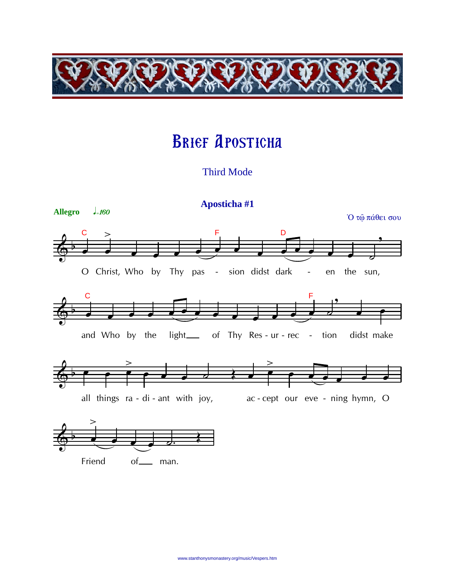

# Brief Aposticha

Third Mode



Friend of man.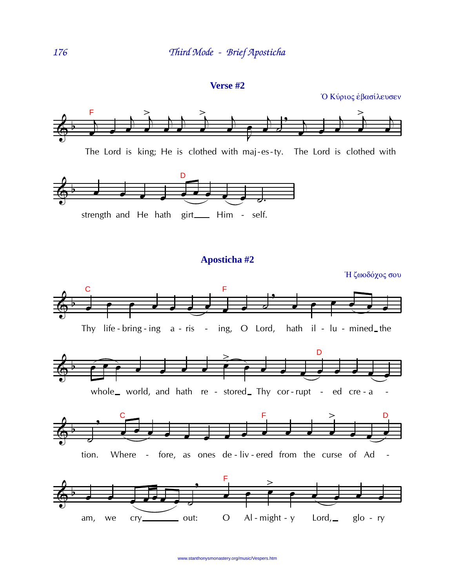#### **Verse #2**

Ο Κύριος έβασίλευσεν







## **Aposticha #2**

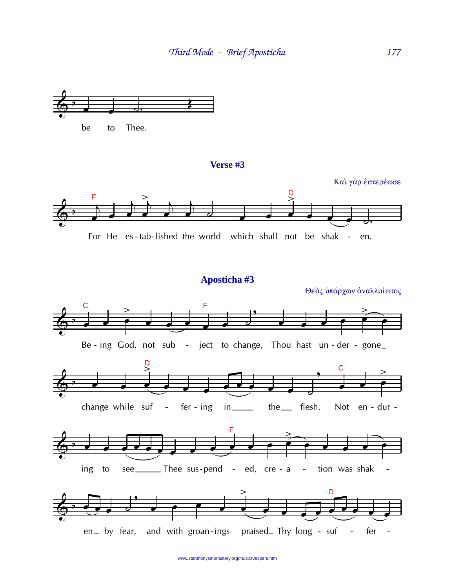

## Verse #3



## Aposticha #3

Θεὸς υπάρχων αναλλοίωτος



www.stanthonysmonastery.org/music/Vespers.htm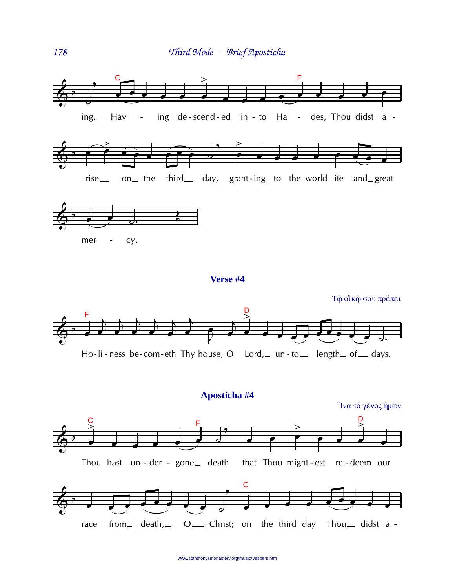

## Aposticha #4



www.stanthonysmonastery.org/music/Vespers.htm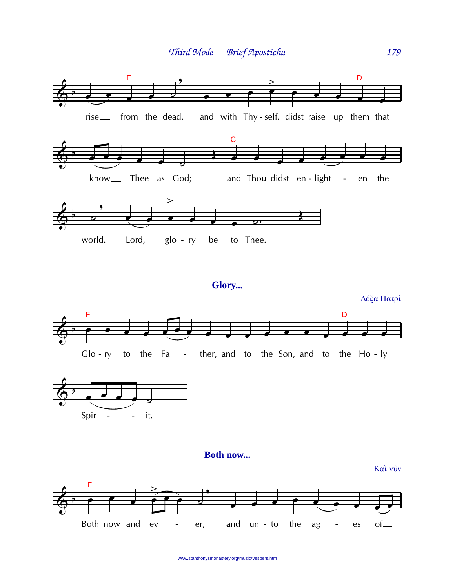



**Both now...** 

Και νύν



www.stanthonysmonastery.org/music/Vespers.htm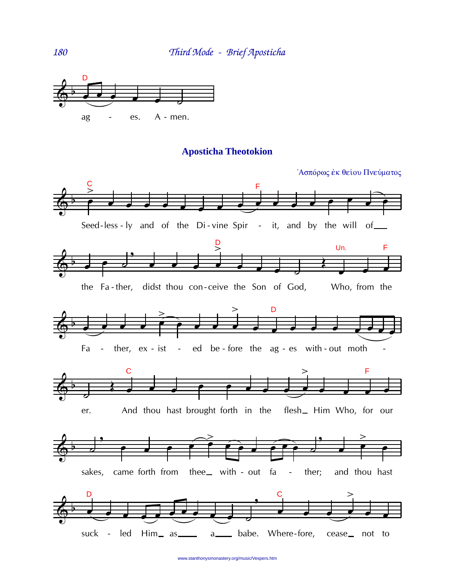

#### **Aposticha Theotokion**